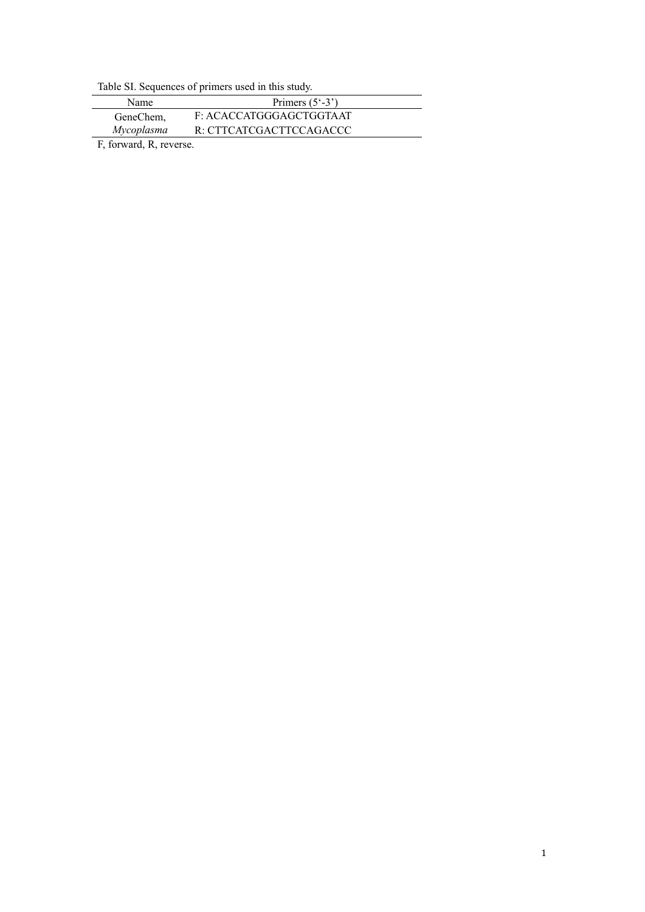Table SI. Sequences of primers used in this study.

| Name       | Primers $(5^{\circ}$ -3') |
|------------|---------------------------|
| GeneChem.  | F: ACACCATGGGAGCTGGTA AT  |
| Mycoplasma | R: CTTCATCGACTTCCAGACCC   |
|            |                           |

F, forward, R, reverse.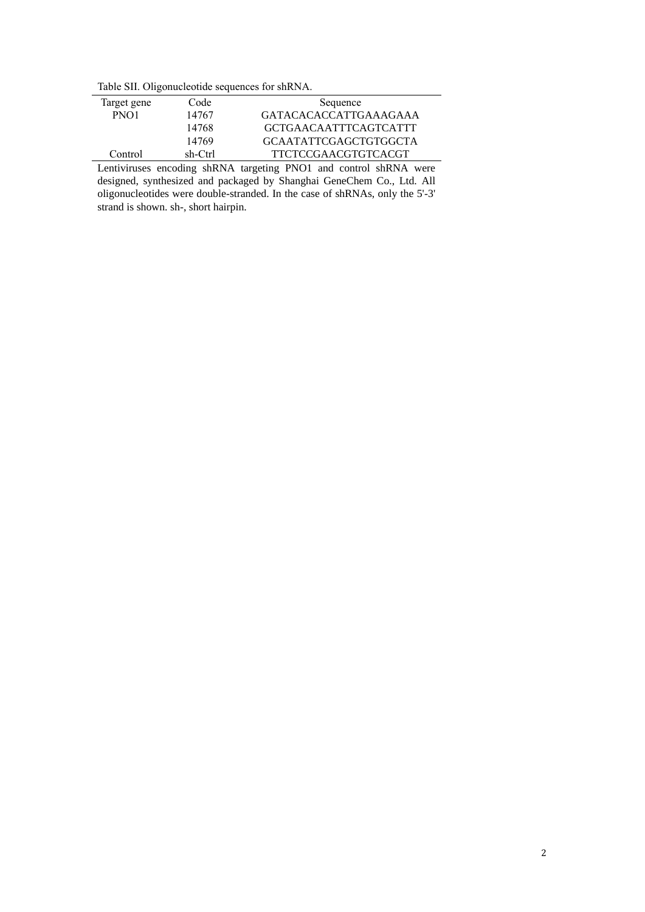Table SII. Oligonucleotide sequences for shRNA.

| Target gene      | Code    | Sequence                     |
|------------------|---------|------------------------------|
| PNO <sub>1</sub> | 14767   | <b>GATACACACCATTGAAAGAAA</b> |
|                  | 14768   | <b>GCTGAACAATTTCAGTCATTT</b> |
|                  | 14769   | <b>GCAATATTCGAGCTGTGGCTA</b> |
| Control          | sh-Ctrl | <b>TTCTCCGAACGTGTCACGT</b>   |

Lentiviruses encoding shRNA targeting PNO1 and control shRNA were designed, synthesized and packaged by Shanghai GeneChem Co., Ltd. All oligonucleotides were double-stranded. In the case of shRNAs, only the 5'-3' strand is shown. sh-, short hairpin.